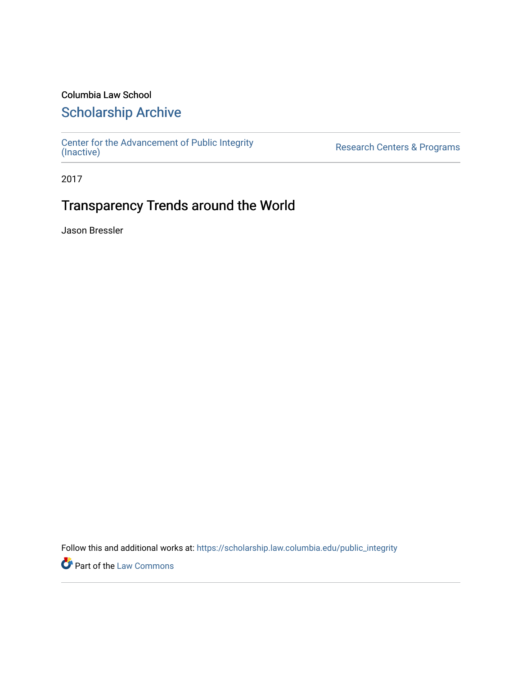# Columbia Law School

# [Scholarship Archive](https://scholarship.law.columbia.edu/)

[Center for the Advancement of Public Integrity](https://scholarship.law.columbia.edu/public_integrity)<br>(Inactive)

Research Centers & Programs

2017

# Transparency Trends around the World

Jason Bressler

Follow this and additional works at: [https://scholarship.law.columbia.edu/public\\_integrity](https://scholarship.law.columbia.edu/public_integrity?utm_source=scholarship.law.columbia.edu%2Fpublic_integrity%2F42&utm_medium=PDF&utm_campaign=PDFCoverPages)

**Part of the [Law Commons](http://network.bepress.com/hgg/discipline/578?utm_source=scholarship.law.columbia.edu%2Fpublic_integrity%2F42&utm_medium=PDF&utm_campaign=PDFCoverPages)**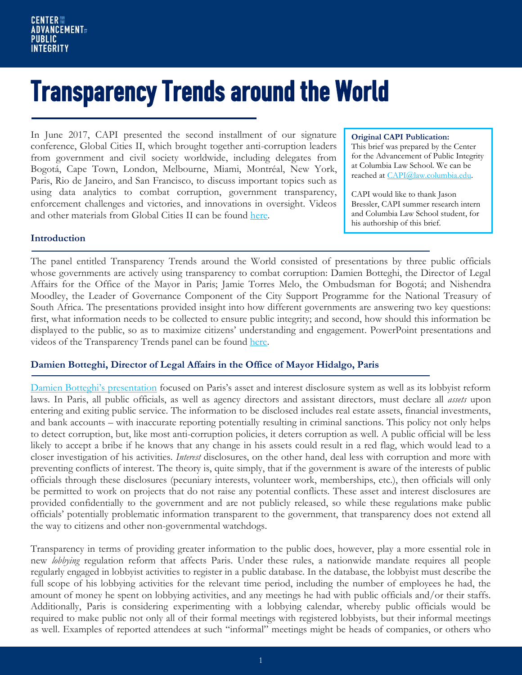# Transparency Trends around the World

In June 2017, CAPI presented the second installment of our signature conference, Global Cities II, which brought together anti-corruption leaders from government and civil society worldwide, including delegates from Bogotá, Cape Town, London, Melbourne, Miami, Montréal, New York, Paris, Rio de Janeiro, and San Francisco, to discuss important topics such as using data analytics to combat corruption, government transparency, enforcement challenges and victories, and innovations in oversight. Videos and other materials from Global Cities II can be found [here.](https://www.law.columbia.edu/public-integrity/conferences-and-events/upcoming-events/global-cities-ii)

#### **Original CAPI Publication:**

This brief was prepared by the Center for the Advancement of Public Integrity at Columbia Law School. We can be reached at [CAPI@law.columbia.edu.](mailto:CAPI@law.columbia.edu)

CAPI would like to thank Jason Bressler, CAPI summer research intern and Columbia Law School student, for his authorship of this brief.

#### **Introduction**

The panel entitled Transparency Trends around the World consisted of presentations by three public officials whose governments are actively using transparency to combat corruption: Damien Botteghi, the Director of Legal Affairs for the Office of the Mayor in Paris; Jamie Torres Melo, the Ombudsman for Bogotá; and Nishendra Moodley, the Leader of Governance Component of the City Support Programme for the National Treasury of South Africa. The presentations provided insight into how different governments are answering two key questions: first, what information needs to be collected to ensure public integrity; and second, how should this information be displayed to the public, so as to maximize citizens' understanding and engagement. PowerPoint presentations and videos of the Transparency Trends panel can be found [here.](https://www.law.columbia.edu/public-integrity/transparency-trends-around-world)

### **Damien Botteghi, Director of Legal Affairs in the Office of Mayor Hidalgo, Paris**

[Damien Botteghi's presentation](https://www.law.columbia.edu/sites/default/files/microsites/public-integrity/170606_damien_botteghi_-_capi_gc2_deck_1.pdf) focused on Paris's asset and interest disclosure system as well as its lobbyist reform laws. In Paris, all public officials, as well as agency directors and assistant directors, must declare all *assets* upon entering and exiting public service. The information to be disclosed includes real estate assets, financial investments, and bank accounts – with inaccurate reporting potentially resulting in criminal sanctions. This policy not only helps to detect corruption, but, like most anti-corruption policies, it deters corruption as well. A public official will be less likely to accept a bribe if he knows that any change in his assets could result in a red flag, which would lead to a closer investigation of his activities. *Interest* disclosures, on the other hand, deal less with corruption and more with preventing conflicts of interest. The theory is, quite simply, that if the government is aware of the interests of public officials through these disclosures (pecuniary interests, volunteer work, memberships, etc.), then officials will only be permitted to work on projects that do not raise any potential conflicts. These asset and interest disclosures are provided confidentially to the government and are not publicly released, so while these regulations make public officials' potentially problematic information transparent to the government, that transparency does not extend all the way to citizens and other non-governmental watchdogs.

Transparency in terms of providing greater information to the public does, however, play a more essential role in new *lobbying* regulation reform that affects Paris. Under these rules, a nationwide mandate requires all people regularly engaged in lobbyist activities to register in a public database. In the database, the lobbyist must describe the full scope of his lobbying activities for the relevant time period, including the number of employees he had, the amount of money he spent on lobbying activities, and any meetings he had with public officials and/or their staffs. Additionally, Paris is considering experimenting with a lobbying calendar, whereby public officials would be required to make public not only all of their formal meetings with registered lobbyists, but their informal meetings as well. Examples of reported attendees at such "informal" meetings might be heads of companies, or others who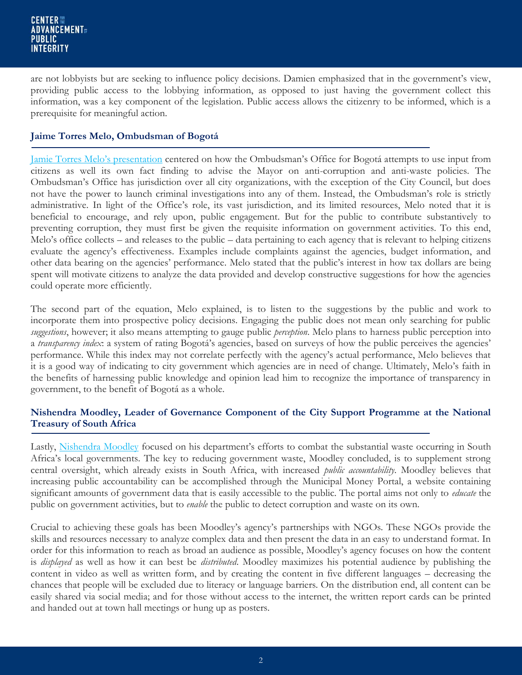are not lobbyists but are seeking to influence policy decisions. Damien emphasized that in the government's view, providing public access to the lobbying information, as opposed to just having the government collect this information, was a key component of the legislation. Public access allows the citizenry to be informed, which is a prerequisite for meaningful action.

## **Jaime Torres Melo, Ombudsman of Bogotá**

[Jamie Torres Melo's presentation](https://www.law.columbia.edu/sites/default/files/microsites/public-integrity/170606_jaime_torres_melo_-_capi_gc2_deck.pdf) centered on how the Ombudsman's Office for Bogotá attempts to use input from citizens as well its own fact finding to advise the Mayor on anti-corruption and anti-waste policies. The Ombudsman's Office has jurisdiction over all city organizations, with the exception of the City Council, but does not have the power to launch criminal investigations into any of them. Instead, the Ombudsman's role is strictly administrative. In light of the Office's role, its vast jurisdiction, and its limited resources, Melo noted that it is beneficial to encourage, and rely upon, public engagement. But for the public to contribute substantively to preventing corruption, they must first be given the requisite information on government activities. To this end, Melo's office collects – and releases to the public – data pertaining to each agency that is relevant to helping citizens evaluate the agency's effectiveness. Examples include complaints against the agencies, budget information, and other data bearing on the agencies' performance. Melo stated that the public's interest in how tax dollars are being spent will motivate citizens to analyze the data provided and develop constructive suggestions for how the agencies could operate more efficiently.

The second part of the equation, Melo explained, is to listen to the suggestions by the public and work to incorporate them into prospective policy decisions. Engaging the public does not mean only searching for public *suggestions*, however; it also means attempting to gauge public *perception*. Melo plans to harness public perception into a *transparency index*: a system of rating Bogotá's agencies, based on surveys of how the public perceives the agencies' performance. While this index may not correlate perfectly with the agency's actual performance, Melo believes that it is a good way of indicating to city government which agencies are in need of change. Ultimately, Melo's faith in the benefits of harnessing public knowledge and opinion lead him to recognize the importance of transparency in government, to the benefit of Bogotá as a whole.

# **Nishendra Moodley, Leader of Governance Component of the City Support Programme at the National Treasury of South Africa**

Lastly, [Nishendra Moodley](https://www.law.columbia.edu/sites/default/files/microsites/public-integrity/csp_presentation_to_capi_global_cities_ii_20170608_final_nm.pdf) focused on his department's efforts to combat the substantial waste occurring in South Africa's local governments. The key to reducing government waste, Moodley concluded, is to supplement strong central oversight, which already exists in South Africa, with increased *public accountability*. Moodley believes that increasing public accountability can be accomplished through the Municipal Money Portal, a website containing significant amounts of government data that is easily accessible to the public. The portal aims not only to *educate* the public on government activities, but to *enable* the public to detect corruption and waste on its own.

Crucial to achieving these goals has been Moodley's agency's partnerships with NGOs. These NGOs provide the skills and resources necessary to analyze complex data and then present the data in an easy to understand format. In order for this information to reach as broad an audience as possible, Moodley's agency focuses on how the content is *displayed* as well as how it can best be *distributed*. Moodley maximizes his potential audience by publishing the content in video as well as written form, and by creating the content in five different languages – decreasing the chances that people will be excluded due to literacy or language barriers. On the distribution end, all content can be easily shared via social media; and for those without access to the internet, the written report cards can be printed and handed out at town hall meetings or hung up as posters.